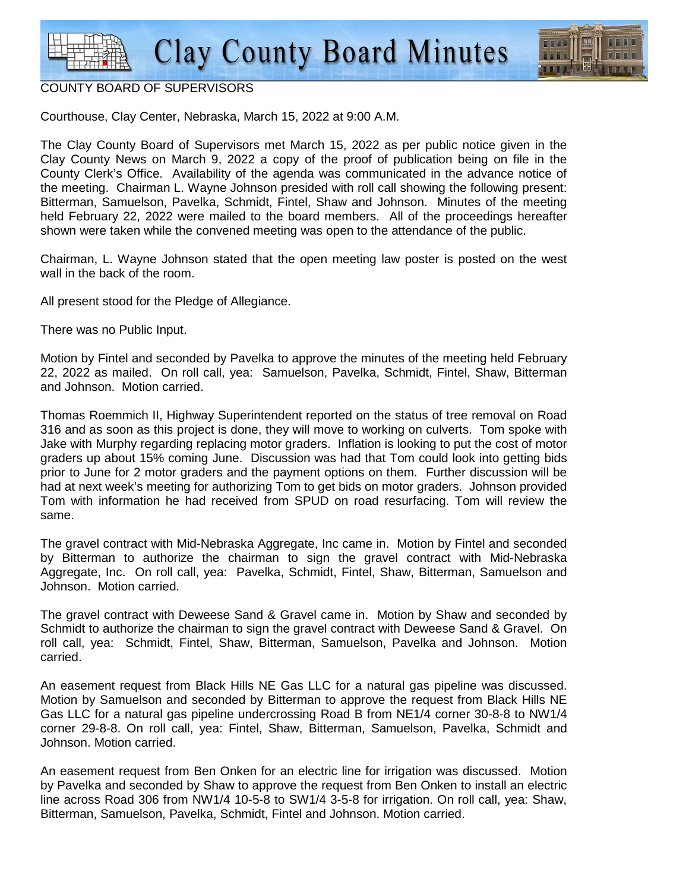

## COUNTY BOARD OF SUPERVISORS

Courthouse, Clay Center, Nebraska, March 15, 2022 at 9:00 A.M.

The Clay County Board of Supervisors met March 15, 2022 as per public notice given in the Clay County News on March 9, 2022 a copy of the proof of publication being on file in the County Clerk's Office. Availability of the agenda was communicated in the advance notice of the meeting. Chairman L. Wayne Johnson presided with roll call showing the following present: Bitterman, Samuelson, Pavelka, Schmidt, Fintel, Shaw and Johnson. Minutes of the meeting held February 22, 2022 were mailed to the board members. All of the proceedings hereafter shown were taken while the convened meeting was open to the attendance of the public.

Chairman, L. Wayne Johnson stated that the open meeting law poster is posted on the west wall in the back of the room.

All present stood for the Pledge of Allegiance.

There was no Public Input.

Motion by Fintel and seconded by Pavelka to approve the minutes of the meeting held February 22, 2022 as mailed. On roll call, yea: Samuelson, Pavelka, Schmidt, Fintel, Shaw, Bitterman and Johnson. Motion carried.

Thomas Roemmich II, Highway Superintendent reported on the status of tree removal on Road 316 and as soon as this project is done, they will move to working on culverts. Tom spoke with Jake with Murphy regarding replacing motor graders. Inflation is looking to put the cost of motor graders up about 15% coming June. Discussion was had that Tom could look into getting bids prior to June for 2 motor graders and the payment options on them. Further discussion will be had at next week's meeting for authorizing Tom to get bids on motor graders. Johnson provided Tom with information he had received from SPUD on road resurfacing. Tom will review the same.

The gravel contract with Mid-Nebraska Aggregate, Inc came in. Motion by Fintel and seconded by Bitterman to authorize the chairman to sign the gravel contract with Mid-Nebraska Aggregate, Inc. On roll call, yea: Pavelka, Schmidt, Fintel, Shaw, Bitterman, Samuelson and Johnson. Motion carried.

The gravel contract with Deweese Sand & Gravel came in. Motion by Shaw and seconded by Schmidt to authorize the chairman to sign the gravel contract with Deweese Sand & Gravel. On roll call, yea: Schmidt, Fintel, Shaw, Bitterman, Samuelson, Pavelka and Johnson. Motion carried.

An easement request from Black Hills NE Gas LLC for a natural gas pipeline was discussed. Motion by Samuelson and seconded by Bitterman to approve the request from Black Hills NE Gas LLC for a natural gas pipeline undercrossing Road B from NE1/4 corner 30-8-8 to NW1/4 corner 29-8-8. On roll call, yea: Fintel, Shaw, Bitterman, Samuelson, Pavelka, Schmidt and Johnson. Motion carried.

An easement request from Ben Onken for an electric line for irrigation was discussed. Motion by Pavelka and seconded by Shaw to approve the request from Ben Onken to install an electric line across Road 306 from NW1/4 10-5-8 to SW1/4 3-5-8 for irrigation. On roll call, yea: Shaw, Bitterman, Samuelson, Pavelka, Schmidt, Fintel and Johnson. Motion carried.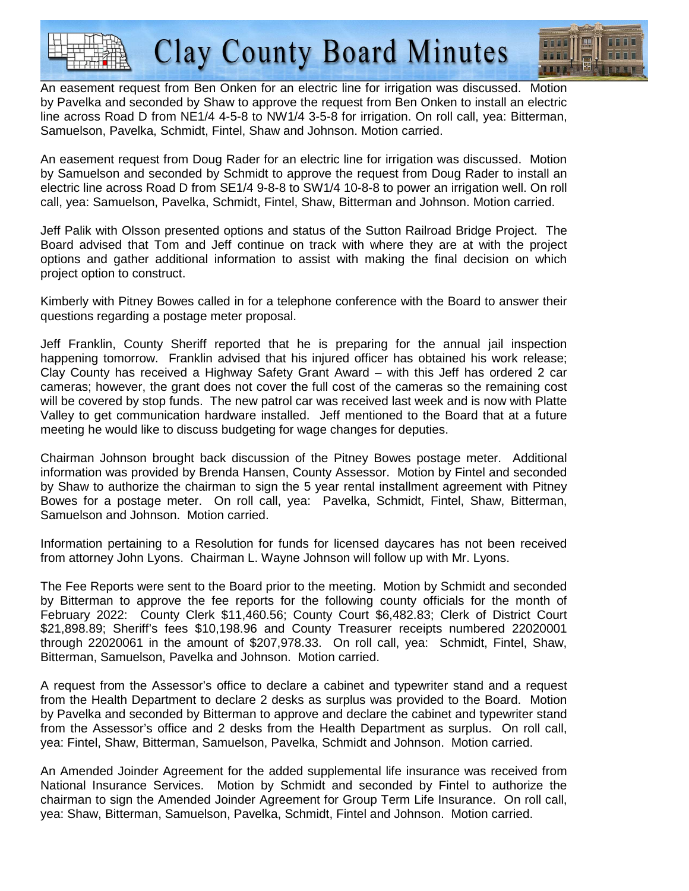**Clay County Board Minutes** 



An easement request from Ben Onken for an electric line for irrigation was discussed. Motion by Pavelka and seconded by Shaw to approve the request from Ben Onken to install an electric line across Road D from NE1/4 4-5-8 to NW1/4 3-5-8 for irrigation. On roll call, yea: Bitterman, Samuelson, Pavelka, Schmidt, Fintel, Shaw and Johnson. Motion carried.

An easement request from Doug Rader for an electric line for irrigation was discussed. Motion by Samuelson and seconded by Schmidt to approve the request from Doug Rader to install an electric line across Road D from SE1/4 9-8-8 to SW1/4 10-8-8 to power an irrigation well. On roll call, yea: Samuelson, Pavelka, Schmidt, Fintel, Shaw, Bitterman and Johnson. Motion carried.

Jeff Palik with Olsson presented options and status of the Sutton Railroad Bridge Project. The Board advised that Tom and Jeff continue on track with where they are at with the project options and gather additional information to assist with making the final decision on which project option to construct.

Kimberly with Pitney Bowes called in for a telephone conference with the Board to answer their questions regarding a postage meter proposal.

Jeff Franklin, County Sheriff reported that he is preparing for the annual jail inspection happening tomorrow. Franklin advised that his injured officer has obtained his work release; Clay County has received a Highway Safety Grant Award – with this Jeff has ordered 2 car cameras; however, the grant does not cover the full cost of the cameras so the remaining cost will be covered by stop funds. The new patrol car was received last week and is now with Platte Valley to get communication hardware installed. Jeff mentioned to the Board that at a future meeting he would like to discuss budgeting for wage changes for deputies.

Chairman Johnson brought back discussion of the Pitney Bowes postage meter. Additional information was provided by Brenda Hansen, County Assessor. Motion by Fintel and seconded by Shaw to authorize the chairman to sign the 5 year rental installment agreement with Pitney Bowes for a postage meter. On roll call, yea: Pavelka, Schmidt, Fintel, Shaw, Bitterman, Samuelson and Johnson. Motion carried.

Information pertaining to a Resolution for funds for licensed daycares has not been received from attorney John Lyons. Chairman L. Wayne Johnson will follow up with Mr. Lyons.

The Fee Reports were sent to the Board prior to the meeting. Motion by Schmidt and seconded by Bitterman to approve the fee reports for the following county officials for the month of February 2022: County Clerk \$11,460.56; County Court \$6,482.83; Clerk of District Court \$21,898.89; Sheriff's fees \$10,198.96 and County Treasurer receipts numbered 22020001 through 22020061 in the amount of \$207,978.33. On roll call, yea: Schmidt, Fintel, Shaw, Bitterman, Samuelson, Pavelka and Johnson. Motion carried.

A request from the Assessor's office to declare a cabinet and typewriter stand and a request from the Health Department to declare 2 desks as surplus was provided to the Board. Motion by Pavelka and seconded by Bitterman to approve and declare the cabinet and typewriter stand from the Assessor's office and 2 desks from the Health Department as surplus. On roll call, yea: Fintel, Shaw, Bitterman, Samuelson, Pavelka, Schmidt and Johnson. Motion carried.

An Amended Joinder Agreement for the added supplemental life insurance was received from National Insurance Services. Motion by Schmidt and seconded by Fintel to authorize the chairman to sign the Amended Joinder Agreement for Group Term Life Insurance. On roll call, yea: Shaw, Bitterman, Samuelson, Pavelka, Schmidt, Fintel and Johnson. Motion carried.